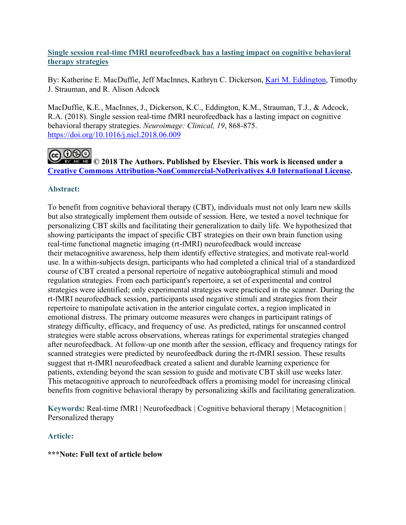# **Single session real-time fMRI neurofeedback has a lasting impact on cognitive behavioral therapy strategies**

By: Katherine E. MacDuffie, Jeff MacInnes, Kathryn C. Dickerson, [Kari M. Eddington,](https://libres.uncg.edu/ir/uncg/clist.aspx?id=4848) Timothy J. Strauman, and R. Alison Adcock

MacDuffie, K.E., MacInnes, J., Dickerson, K.C., Eddington, K.M., Strauman, T.J., & Adcock, R.A. (2018). Single session real-time fMRI neurofeedback has a lasting impact on cognitive behavioral therapy strategies. *Neuroimage: Clinical, 19*, 868-875. <https://doi.org/10.1016/j.nicl.2018.06.009>

# **@** 0®©|

**EX NO ND © 2018 The Authors. Published by Elsevier. This work is licensed under a [Creative Commons Attribution-NonCommercial-NoDerivatives 4.0 International License.](http://creativecommons.org/licenses/by-nc-nd/4.0/)**

# **Abstract:**

To benefit from cognitive behavioral therapy (CBT), individuals must not only learn new skills but also strategically implement them outside of session. Here, we tested a novel technique for personalizing CBT skills and facilitating their generalization to daily life. We hypothesized that showing participants the impact of specific CBT strategies on their own brain function using real-time functional magnetic imaging (rt-fMRI) neurofeedback would increase their metacognitive awareness, help them identify effective strategies, and motivate real-world use. In a within-subjects design, participants who had completed a clinical trial of a standardized course of CBT created a personal repertoire of negative autobiographical stimuli and mood regulation strategies. From each participant's repertoire, a set of experimental and control strategies were identified; only experimental strategies were practiced in the scanner. During the rt-fMRI neurofeedback session, participants used negative stimuli and strategies from their repertoire to manipulate activation in the anterior cingulate cortex, a region implicated in emotional distress. The primary outcome measures were changes in participant ratings of strategy difficulty, efficacy, and frequency of use. As predicted, ratings for unscanned control strategies were stable across observations, whereas ratings for experimental strategies changed after neurofeedback. At follow-up one month after the session, efficacy and frequency ratings for scanned strategies were predicted by neurofeedback during the rt-fMRI session. These results suggest that rt-fMRI neurofeedback created a salient and durable learning experience for patients, extending beyond the scan session to guide and motivate CBT skill use weeks later. This metacognitive approach to neurofeedback offers a promising model for increasing clinical benefits from cognitive behavioral therapy by personalizing skills and facilitating generalization.

**Keywords:** Real-time fMRI | Neurofeedback | Cognitive behavioral therapy | Metacognition | Personalized therapy

# **Article:**

# **\*\*\*Note: Full text of article below**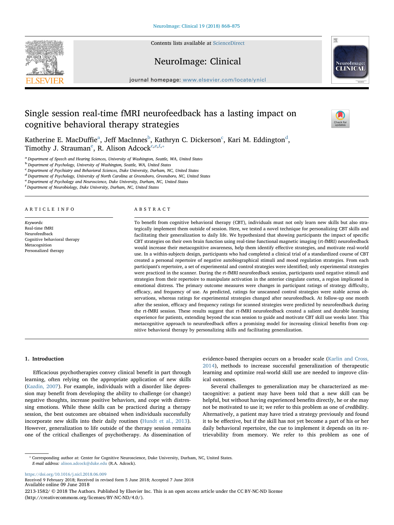Contents lists available at [ScienceDirect](http://www.sciencedirect.com/science/journal/22131582)



# NeuroImage: Clinical



 $\frac{N}{2}$ 

journal homepage: [www.elsevier.com/locate/ynicl](https://www.elsevier.com/locate/ynicl)

# Single session real-time fMRI neurofeedback has a lasting impact on cognitive behavioral therapy strategies

Katherine E. Ma[c](#page-1-2)Duffie $\mathrm{^a}\mathrm{,}$  Jeff MacInnes $\mathrm{^b}\mathrm{,}$  $\mathrm{^b}\mathrm{,}$  $\mathrm{^b}\mathrm{,}$  Kathryn C. Dickerson $\mathrm{^c}\mathrm{,}$  Kari M. E[d](#page-1-3)dington $\mathrm{^d}\mathrm{,}$ Timothy J. Strauman<sup>[e](#page-1-4)</sup>, R. Alison Adcock<sup>[c,](#page-1-2)[e,](#page-1-4)[f,](#page-1-5)\*</sup>

<span id="page-1-0"></span><sup>a</sup> Department of Speech and Hearing Sciences, University of Washington, Seattle, WA, United States

<span id="page-1-1"></span><sup>b</sup> Department of Psychology, University of Washington, Seattle, WA, United States

<span id="page-1-2"></span>c Department of Psychiatry and Behavioral Sciences, Duke University, Durham, NC, United States

<span id="page-1-3"></span><sup>d</sup> Department of Psychology, University of North Carolina at Greensboro, Greensboro, NC, United States

<span id="page-1-4"></span>e Department of Psychology and Neuroscience, Duke University, Durham, NC, United States

<span id="page-1-5"></span>f Department of Neurobiology, Duke University, Durham, NC, United States

#### ARTICLE INFO

Keywords: Real-time fMRI Neurofeedback Cognitive behavioral therapy Metacognition Personalized therapy

#### ABSTRACT

To benefit from cognitive behavioral therapy (CBT), individuals must not only learn new skills but also strategically implement them outside of session. Here, we tested a novel technique for personalizing CBT skills and facilitating their generalization to daily life. We hypothesized that showing participants the impact of specific CBT strategies on their own brain function using real-time functional magnetic imaging (rt-fMRI) neurofeedback would increase their metacognitive awareness, help them identify effective strategies, and motivate real-world use. In a within-subjects design, participants who had completed a clinical trial of a standardized course of CBT created a personal repertoire of negative autobiographical stimuli and mood regulation strategies. From each participant's repertoire, a set of experimental and control strategies were identified; only experimental strategies were practiced in the scanner. During the rt-fMRI neurofeedback session, participants used negative stimuli and strategies from their repertoire to manipulate activation in the anterior cingulate cortex, a region implicated in emotional distress. The primary outcome measures were changes in participant ratings of strategy difficulty, efficacy, and frequency of use. As predicted, ratings for unscanned control strategies were stable across observations, whereas ratings for experimental strategies changed after neurofeedback. At follow-up one month after the session, efficacy and frequency ratings for scanned strategies were predicted by neurofeedback during the rt-fMRI session. These results suggest that rt-fMRI neurofeedback created a salient and durable learning experience for patients, extending beyond the scan session to guide and motivate CBT skill use weeks later. This metacognitive approach to neurofeedback offers a promising model for increasing clinical benefits from cognitive behavioral therapy by personalizing skills and facilitating generalization.

#### 1. Introduction

Efficacious psychotherapies convey clinical benefit in part through learning, often relying on the appropriate application of new skills ([Kazdin, 2007](#page-8-0)). For example, individuals with a disorder like depression may benefit from developing the ability to challenge (or change) negative thoughts, increase positive behaviors, and cope with distressing emotions. While these skills can be practiced during a therapy session, the best outcomes are obtained when individuals successfully incorporate new skills into their daily routines [\(Hundt et al., 2013](#page-8-1)). However, generalization to life outside of the therapy session remains one of the critical challenges of psychotherapy. As dissemination of evidence-based therapies occurs on a broader scale [\(Karlin and Cross,](#page-8-2) [2014\)](#page-8-2), methods to increase successful generalization of therapeutic learning and optimize real-world skill use are needed to improve clinical outcomes.

Several challenges to generalization may be characterized as metacognitive: a patient may have been told that a new skill can be helpful, but without having experienced benefits directly, he or she may not be motivated to use it; we refer to this problem as one of credibility. Alternatively, a patient may have tried a strategy previously and found it to be effective, but if the skill has not yet become a part of his or her daily behavioral repertoire, the cue to implement it depends on its retrievability from memory. We refer to this problem as one of

<https://doi.org/10.1016/j.nicl.2018.06.009> Received 9 February 2018; Received in revised form 5 June 2018; Accepted 7 June 2018 Available online 09 June 2018 2213-1582/ © 2018 The Authors. Published by Elsevier Inc. This is an open access article under the CC BY-NC-ND license (http://creativecommons.org/licenses/BY-NC-ND/4.0/).

<span id="page-1-6"></span><sup>⁎</sup> Corresponding author at: Center for Cognitive Neuroscience, Duke University, Durham, NC, United States. E-mail address: [alison.adcock@duke.edu](mailto:alison.adcock@duke.edu) (R.A. Adcock).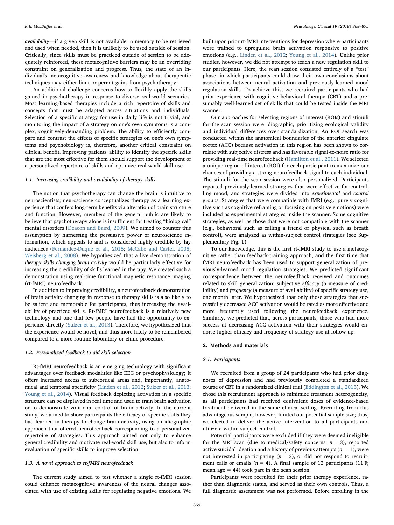availability—if a given skill is not available in memory to be retrieved and used when needed, then it is unlikely to be used outside of session. Critically, since skills must be practiced outside of session to be adequately reinforced, these metacognitive barriers may be an overriding constraint on generalization and progress. Thus, the state of an individual's metacognitive awareness and knowledge about therapeutic techniques may either limit or permit gains from psychotherapy.

An additional challenge concerns how to flexibly apply the skills gained in psychotherapy in response to diverse real-world scenarios. Most learning-based therapies include a rich repertoire of skills and concepts that must be adapted across situations and individuals. Selection of a specific strategy for use in daily life is not trivial, and monitoring the impact of a strategy on one's own symptoms is a complex, cognitively-demanding problem. The ability to efficiently compare and contrast the effects of specific strategies on one's own symptoms and psychobiology is, therefore, another critical constraint on clinical benefit. Improving patients' ability to identify the specific skills that are the most effective for them should support the development of a personalized repertoire of skills and optimize real-world skill use.

# 1.1. Increasing credibility and availability of therapy skills

The notion that psychotherapy can change the brain is intuitive to neuroscientists; neuroscience conceptualizes therapy as a learning experience that confers long-term benefits via alteration of brain structure and function. However, members of the general public are likely to believe that psychotherapy alone is insufficient for treating "biological" mental disorders ([Deacon and Baird, 2009\)](#page-8-3). We aimed to counter this assumption by harnessing the persuasive power of neuroscience information, which appeals to and is considered highly credible by lay audiences ([Fernandez-Duque et al., 2015](#page-8-4); [McCabe and Castel, 2008](#page-8-5); [Weisberg et al., 2008\)](#page-8-6). We hypothesized that a live demonstration of therapy skills changing brain activity would be particularly effective for increasing the credibility of skills learned in therapy. We created such a demonstration using real-time functional magnetic resonance imaging (rt-fMRI) neurofeedback.

In addition to improving credibility, a neurofeedback demonstration of brain activity changing in response to therapy skills is also likely to be salient and memorable for participants, thus increasing the availability of practiced skills. Rt-fMRI neurofeedback is a relatively new technology and one that few people have had the opportunity to experience directly [\(Sulzer et al., 2013\)](#page-8-7). Therefore, we hypothesized that the experience would be novel, and thus more likely to be remembered compared to a more routine laboratory or clinic procedure.

### 1.2. Personalized feedback to aid skill selection

Rt-fMRI neurofeedback is an emerging technology with significant advantages over feedback modalities like EEG or psychophysiology; it offers increased access to subcortical areas and, importantly, anatomical and temporal specificity [\(Linden et al., 2012](#page-8-8); [Sulzer et al., 2013](#page-8-7); [Young et al., 2014](#page-8-9)). Visual feedback depicting activation in a specific structure can be displayed in real time and used to train brain activation or to demonstrate volitional control of brain activity. In the current study, we aimed to show participants the efficacy of specific skills they had learned in therapy to change brain activity, using an idiographic approach that offered neurofeedback corresponding to a personalized repertoire of strategies. This approach aimed not only to enhance general credibility and motivate real-world skill use, but also to inform evaluation of specific skills to improve selection.

#### 1.3. A novel approach to rt-fMRI neurofeedback

The current study aimed to test whether a single rt-fMRI session could enhance metacognitive awareness of the neural changes associated with use of existing skills for regulating negative emotions. We built upon prior rt-fMRI interventions for depression where participants were trained to upregulate brain activation responsive to positive emotions (e.g., [Linden et al., 2012](#page-8-8); [Young et al., 2014](#page-8-9)). Unlike prior studies, however, we did not attempt to teach a new regulation skill to our participants. Here, the scan session consisted entirely of a "test" phase, in which participants could draw their own conclusions about associations between neural activation and previously-learned mood regulation skills. To achieve this, we recruited participants who had prior experience with cognitive behavioral therapy (CBT) and a presumably well-learned set of skills that could be tested inside the MRI scanner.

Our approaches for selecting regions of interest (ROIs) and stimuli for the scan session were idiographic, prioritizing ecological validity and individual differences over standardization. An ROI search was conducted within the anatomical boundaries of the anterior cingulate cortex (ACC) because activation in this region has been shown to correlate with subjective distress and has favorable signal-to-noise ratio for providing real-time neurofeedback ([Hamilton et al., 2011\)](#page-8-10). We selected a unique region of interest (ROI) for each participant to maximize our chances of providing a strong neurofeedback signal to each individual. The stimuli for the scan session were also personalized. Participants reported previously-learned strategies that were effective for controlling mood, and strategies were divided into experimental and control groups. Strategies that were compatible with fMRI (e.g., purely cognitive such as cognitive reframing or focusing on positive emotions) were included as experimental strategies inside the scanner. Some cognitive strategies, as well as those that were not compatible with the scanner (e.g., behavioral such as calling a friend or physical such as breath control), were analyzed as within-subject control strategies (see Supplementary Fig. 1).

To our knowledge, this is the first rt-fMRI study to use a metacognitive rather than feedback-training approach, and the first time that fMRI neurofeedback has been used to support generalization of previously-learned mood regulation strategies. We predicted significant correspondence between the neurofeedback received and outcomes related to skill generalization: subjective efficacy (a measure of credibility) and frequency (a measure of availability) of specific strategy use, one month later. We hypothesized that only those strategies that successfully decreased ACC activation would be rated as more effective and more frequently used following the neurofeedback experience. Similarly, we predicted that, across participants, those who had more success at decreasing ACC activation with their strategies would endorse higher efficacy and frequency of strategy use at follow-up.

# 2. Methods and materials

#### 2.1. Participants

We recruited from a group of 24 participants who had prior diagnoses of depression and had previously completed a standardized course of CBT in a randomized clinical trial ([Eddington et al., 2015](#page-8-11)). We chose this recruitment approach to minimize treatment heterogeneity, as all participants had received equivalent doses of evidence-based treatment delivered in the same clinical setting. Recruiting from this advantageous sample, however, limited our potential sample size; thus, we elected to deliver the active intervention to all participants and utilize a within-subject control.

Potential participants were excluded if they were deemed ineligible for the MRI scan (due to medical/safety concerns;  $n = 3$ ), reported active suicidal ideation and a history of previous attempts ( $n = 1$ ), were not interested in participating  $(n = 3)$ , or did not respond to recruitment calls or emails  $(n = 4)$ . A final sample of 13 participants (11 F; mean age  $= 44$ ) took part in the scan session.

Participants were recruited for their prior therapy experience, rather than diagnostic status, and served as their own controls. Thus, a full diagnostic assessment was not performed. Before enrolling in the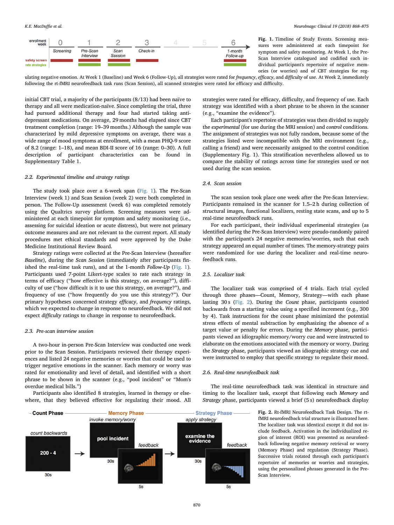<span id="page-3-0"></span>

Fig. 1. Timeline of Study Events. Screening measures were administered at each timepoint for symptom and safety monitoring. At Week 1, the Pre-Scan Interview catalogued and codified each individual participant's repertoire of negative memories (or worries) and of CBT strategies for reg-

ulating negative emotion. At Week 1 (Baseline) and Week 6 (Follow-Up), all strategies were rated for *frequency*, efficacy, and difficulty of use. At Week 2, immediately following the rt-fMRI neurofeedback task runs (Scan Session), all scanned strategies were rated for efficacy and difficulty.

initial CBT trial, a majority of the participants (8/13) had been naïve to therapy and all were medication-naïve. Since completing the trial, three had pursued additional therapy and four had started taking antidepressant medications. On average, 29 months had elapsed since CBT treatment completion (range: 19–39 months.) Although the sample was characterized by mild depressive symptoms on average, there was a wide range of mood symptoms at enrollment, with a mean PHQ-9 score of 8.2 (range: 1–18), and mean BDI-II score of 16 (range: 0–30). A full description of participant characteristics can be found in Supplementary Table 1.

## 2.2. Experimental timeline and strategy ratings

The study took place over a 6-week span ([Fig. 1](#page-3-0)). The Pre-Scan Interview (week 1) and Scan Session (week 2) were both completed in person. The Follow-Up assessment (week 6) was completed remotely using the Qualtrics survey platform. Screening measures were administered at each timepoint for symptom and safety monitoring (i.e., assessing for suicidal ideation or acute distress), but were not primary outcome measures and are not relevant to the current report. All study procedures met ethical standards and were approved by the Duke Medicine Institutional Review Board.

Strategy ratings were collected at the Pre-Scan Interview (hereafter Baseline), during the Scan Session (immediately after participants finished the real-time task runs), and at the 1-month  $Follow-Up$  ([Fig. 1](#page-3-0)). Participants used 7-point Likert-type scales to rate each strategy in terms of efficacy ("how effective is this strategy, on average?"), difficulty of use ("how difficult is it to use this strategy, on average?"), and frequency of use ("how frequently do you use this strategy?"). Our primary hypotheses concerned strategy efficacy, and frequency ratings, which we expected to change in response to neurofeedback. We did not expect difficulty ratings to change in response to neurofeedback.

# 2.3. Pre-scan interview session

A two-hour in-person Pre-Scan Interview was conducted one week prior to the Scan Session. Participants reviewed their therapy experiences and listed 24 negative memories or worries that could be used to trigger negative emotions in the scanner. Each memory or worry was rated for emotionality and level of detail, and identified with a short phrase to be shown in the scanner (e.g., "pool incident" or "Mom's overdue medical bills.")

Participants also identified 8 strategies, learned in therapy or elsewhere, that they believed effective for regulating their mood. All strategies were rated for efficacy, difficulty, and frequency of use. Each strategy was identified with a short phrase to be shown in the scanner (e.g., "examine the evidence").

Each participant's repertoire of strategies was then divided to supply the experimental (for use during the MRI session) and control conditions. The assignment of strategies was not fully random, because some of the strategies listed were incompatible with the MRI environment (e.g., calling a friend) and were necessarily assigned to the control condition (Supplementary Fig. 1). This stratification nevertheless allowed us to compare the stability of ratings across time for strategies used or not used during the scan session.

### 2.4. Scan session

The scan session took place one week after the Pre-Scan Interview. Participants remained in the scanner for 1.5–2 h during collection of structural images, functional localizers, resting state scans, and up to 5 real-time neurofeedback runs.

For each participant, their individual experimental strategies (as identified during the Pre-Scan Interview) were pseudo-randomly paired with the participant's 24 negative memories/worries, such that each strategy appeared an equal number of times. The memory-strategy pairs were randomized for use during the localizer and real-time neurofeedback runs.

# 2.5. Localizer task

The localizer task was comprised of 4 trials. Each trial cycled through three phases—Count, Memory, Strategy—with each phase lasting 30 s ([Fig. 2\)](#page-3-1). During the Count phase, participants counted backwards from a starting value using a specified increment (e.g., 300 by 4). Task instructions for the count phase minimized the potential stress effects of mental subtraction by emphasizing the absence of a target value or penalty for errors. During the Memory phase, participants viewed an idiographic memory/worry cue and were instructed to elaborate on the emotions associated with the memory or worry. During the Strategy phase, participants viewed an idiographic strategy cue and were instructed to employ that specific strategy to regulate their mood.

#### 2.6. Real-time neurofeedback task

The real-time neurofeedback task was identical in structure and timing to the localizer task, except that following each Memory and Strategy phase, participants viewed a brief (5 s) neurofeedback display

> Fig. 2. Rt-fMRI Neurofeedback Task Design. The rtfMRI neurofeedback trial structure is illustrated here. The localizer task was identical except it did not include feedback. Activation in the individualized region of interest (ROI) was presented as neurofeedback following negative memory retrieval or worry (Memory Phase) and regulation (Strategy Phase). Successive trials rotated through each participant's repertoire of memories or worries and strategies, using the personalized phrases generated in the Pre-Scan Interview.

<span id="page-3-1"></span>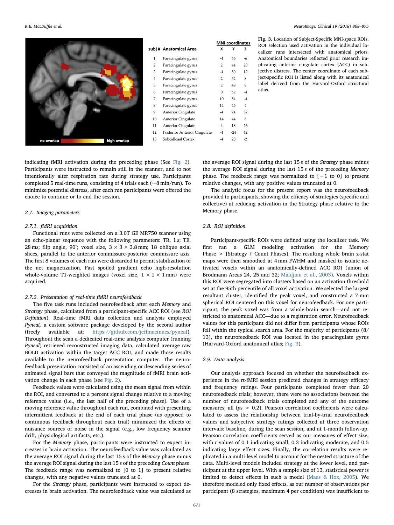<span id="page-4-0"></span>

|      |                |                              | <b>MNI</b> coordinates |       |                |  |  |
|------|----------------|------------------------------|------------------------|-------|----------------|--|--|
|      |                | subj# Anatomical Area        | X                      | Υ     | z              |  |  |
|      | $\mathbf{1}$   | Paracingulate gyrus          | $-4$                   | 46    | -6             |  |  |
|      | $\overline{2}$ | Paracingulate gyrus          | 2                      | 44    | 20             |  |  |
|      | 3              | Paracingulate gyrus          | $-4$                   | 50    | 12             |  |  |
|      | 4              | Paracingulate gyrus          | 2                      | 52    | 8              |  |  |
|      | 5              | Paracingulate gyrus          | 2                      | 48    | 8              |  |  |
|      | 6              | Paracingulate gyrus          | $\theta$               | 52    | -4             |  |  |
|      | 7              | Paracingulate gyrus          | 10                     | 54    | $-4$           |  |  |
|      | 8              | Paracingulate gyrus          | 14                     | 46    | $\overline{4}$ |  |  |
|      | 9              | <b>Anterior Cingulate</b>    | $-4$                   | 24    | 32             |  |  |
|      | 10             | <b>Anterior Cingulate</b>    | 14                     | 44    | 8              |  |  |
|      | 11             | <b>Anterior Cingulate</b>    | $\overline{4}$         | 18    | 26             |  |  |
|      | 12             | Posterior Anterior Cingulate | $-4$                   | $-24$ | 42             |  |  |
| rlan | 13             | Subcallosal Cortex           | -4                     | 28    | $-2$           |  |  |

Fig. 3. Location of Subject-Specific MNI-space ROIs. ROI selection used activation in the individual localizer runs intersected with anatomical priors. Anatomical boundaries reflected prior research implicating anterior cingulate cortex (ACC) in subjective distress. The center coordinate of each subject-specific ROI is listed along with its anatomical label derived from the Harvard-Oxford structural atlas.

indicating fMRI activation during the preceding phase (See [Fig. 2](#page-3-1)). Participants were instructed to remain still in the scanner, and to not intentionally alter respiration rate during strategy use. Participants completed 5 real-time runs, consisting of 4 trials each ( $\sim$ 8 min/run). To minimize potential distress, after each run participants were offered the choice to continue or to end the session.

high ov

#### 2.7. Imaging parameters

no overlap

#### 2.7.1. fMRI acquisition

Functional runs were collected on a 3.0T GE MR750 scanner using an echo-planar sequence with the following parameters: TR, 1 s; TE, 28 ms; flip angle, 90°; voxel size,  $3 \times 3 \times 3.8$  mm; 18 oblique axial slices, parallel to the anterior commissure-posterior commissure axis. The first 8 volumes of each run were discarded to permit stabilization of the net magnetization. Fast spoiled gradient echo high-resolution whole-volume T1-weighted images (voxel size,  $1 \times 1 \times 1$  mm) were acquired.

#### 2.7.2. Presentation of real-time fMRI neurofeedback

The five task runs included neurofeedback after each Memory and Strategy phase, calculated from a participant-specific ACC ROI (see ROI Definition). Real-time fMRI data collection and analysis employed Pyneal, a custom software package developed by the second author (freely available at: [https://github.com/je](https://github.com/jeffmacinnes/pyneal)ffmacinnes/pyneal). Throughout the scan a dedicated real-time analysis computer (running Pyneal) retrieved reconstructed imaging data, calculated average raw BOLD activation within the target ACC ROI, and made those results available to the neurofeedback presentation computer. The neurofeedback presentation consisted of an ascending or descending series of animated signal bars that conveyed the magnitude of fMRI brain activation change in each phase (see [Fig. 2](#page-3-1)).

Feedback values were calculated using the mean signal from within the ROI, and converted to a percent signal change relative to a moving reference value (i.e., the last half of the preceding phase). Use of a moving reference value throughout each run, combined with presenting intermittent feedback at the end of each trial phase (as opposed to continuous feedback throughout each trial) minimized the effects of nuisance sources of noise in the signal (e.g., low frequency scanner drift, physiological artifacts, etc.).

For the Memory phase, participants were instructed to expect increases in brain activation. The neurofeedback value was calculated as the average ROI signal during the last 15 s of the Memory phase minus the average ROI signal during the last 15 s of the preceding Count phase. The feedback range was normalized to [0 to 1] to present relative changes, with any negative values truncated at 0.

For the Strategy phase, participants were instructed to expect decreases in brain activation. The neurofeedback value was calculated as the average ROI signal during the last 15 s of the Strategy phase minus the average ROI signal during the last 15 s of the preceding Memory phase. The feedback range was normalized to [−1 to 0] to present relative changes, with any positive values truncated at 0.

The analytic focus for the present report was the neurofeedback provided to participants, showing the efficacy of strategies (specific and collective) at reducing activation in the Strategy phase relative to the Memory phase.

### 2.8. ROI definition

Participant-specific ROIs were defined using the localizer task. We first ran a GLM modeling activation for the Memory Phase  $>$  [Strategy + Count Phases]. The resulting whole brain z-stat maps were then smoothed at 4 mm FWHM and masked to isolate activated voxels within an anatomically-defined ACC ROI (union of Brodmann Areas 24, 25 and 32; [Maldjian et al., 2003](#page-8-12)). Voxels within this ROI were segregated into clusters based on an activation threshold set at the 95th percentile of all voxel activation. We selected the largest resultant cluster, identified the peak voxel, and constructed a 7-mm spherical ROI centered on this voxel for neurofeedback. For one participant, the peak voxel was from a whole-brain search—and not restricted to anatomical ACC—due to a registration error. Neurofeedback values for this participant did not differ from participants whose ROIs fell within the typical search area. For the majority of participants (8/ 13), the neurofeedback ROI was located in the paracingulate gyrus (Harvard-Oxford anatomical atlas; [Fig. 3](#page-4-0)).

#### 2.9. Data analysis

Our analysis approach focused on whether the neurofeedback experience in the rt-fMRI session predicted changes in strategy efficacy and frequency ratings. Four participants completed fewer than 20 neurofeedback trials; however, there were no associations between the number of neurofeedback trials completed and any of the outcome measures; all ( $ps > 0.2$ ). Pearson correlation coefficients were calculated to assess the relationship between trial-by-trial neurofeedback values and subjective strategy ratings collected at three observation intervals: baseline, during the scan session, and at 1-month follow-up. Pearson correlation coefficients served as our measures of effect size, with r values of 0.1 indicating small, 0.3 indicating moderate, and 0.5 indicating large effect sizes. Finally, the correlation results were replicated in a multi-level model to account for the nested structure of the data. Multi-level models included strategy at the lower level, and participant at the upper level. With a sample size of 13, statistical power is limited to detect effects in such a model ([Maas & Hox, 2005](#page-8-13)). We therefore modeled only fixed effects, as our number of observations per participant (8 strategies, maximum 4 per condition) was insufficient to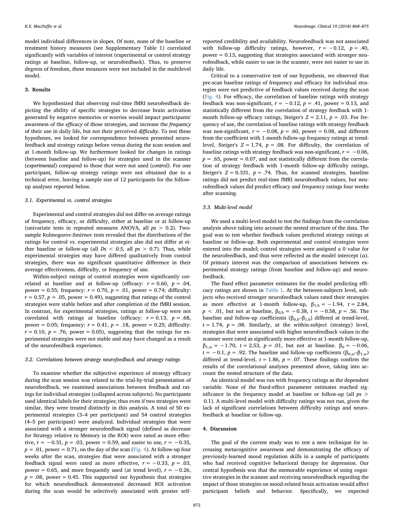model individual differences in slopes. Of note, none of the baseline or treatment history measures (see Supplementary Table 1) correlated significantly with variables of interest (experimental or control strategy ratings at baseline, follow-up, or neurofeedback). Thus, to preserve degrees of freedom, these measures were not included in the multilevel model.

### 3. Results

We hypothesized that observing real-time fMRI neurofeedback depicting the ability of specific strategies to decrease brain activation generated by negative memories or worries would impact participants' awareness of the efficacy of those strategies, and increase the frequency of their use in daily life, but not their perceived difficulty. To test these hypotheses, we looked for correspondence between presented neurofeedback and strategy ratings before versus during the scan session and at 1-month follow-up. We furthermore looked for changes in ratings (between baseline and follow-up) for strategies used in the scanner (experimental) compared to those that were not used (control). For one participant, follow-up strategy ratings were not obtained due to a technical error, leaving a sample size of 12 participants for the followup analyses reported below.

#### 3.1. Experimental vs. control strategies

Experimental and control strategies did not differ on average ratings of frequency, efficacy, or difficulty, either at baseline or at follow-up (univariate tests in repeated measures ANOVA, all  $ps > 0.2$ ). Twosample Kolmogorov-Smirnov tests revealed that the distributions of the ratings for control vs. experimental strategies also did not differ at either baseline or follow-up (all  $Ds < 0.5$ , all  $ps > 0.7$ ). Thus, while experimental strategies may have differed qualitatively from control strategies, there was no significant quantitative difference in their average effectiveness, difficulty, or frequency of use.

Within-subject ratings of control strategies were significantly correlated at baseline and at follow-up (efficacy:  $r = 0.60$ ,  $p = .04$ , power = 0.55; frequency:  $r = 0.70$ ,  $p = .01$ , power = 0.74; difficulty:  $r = 0.57$ ,  $p = .05$ , power = 0.49), suggesting that ratings of the control strategies were stable before and after completion of the fMRI session. In contrast, for experimental strategies, ratings at follow-up were not correlated with ratings at baseline (efficacy:  $r = 0.13$ ,  $p = .68$ , power = 0.05; frequency:  $r = 0.41$ ,  $p = .18$ , power = 0.25; difficulty:  $r = 0.10$ ,  $p = .76$ , power = 0.05), suggesting that the ratings for experimental strategies were not stable and may have changed as a result of the neurofeedback experience.

#### 3.2. Correlations between strategy neurofeedback and strategy ratings

To examine whether the subjective experience of strategy efficacy during the scan session was related to the trial-by-trial presentation of neurofeedback, we examined associations between feedback and ratings for individual strategies (collapsed across subjects). No participants used identical labels for their strategies; thus even if two strategies were similar, they were treated distinctly in this analysis. A total of 50 experimental strategies (3–4 per participant) and 54 control strategies (4–5 per participant) were analyzed. Individual strategies that were associated with a stronger neurofeedback signal (defined as decrease for Strategy relative to Memory in the ROI) were rated as more effective,  $r = -0.31$ ,  $p = .03$ , power = 0.59, and easier to use,  $r = -0.35$ ,  $p = .01$ , power = 0.71, on the day of the scan ([Fig. 4](#page-6-0)). At follow-up four weeks after the scan, strategies that were associated with a stronger feedback signal were rated as more effective,  $r = -0.33$ ,  $p = .03$ , power = 0.65, and more frequently used (at trend level),  $r = -0.26$ ,  $p = .08$ , power = 0.45. This supported our hypothesis that strategies for which neurofeedback demonstrated decreased ROI activation during the scan would be selectively associated with greater selfreported credibility and availability. Neurofeedback was not associated with follow-up difficulty ratings, however,  $r = -0.12$ ,  $p = .40$ , power = 0.13, suggesting that strategies associated with stronger neurofeedback, while easier to use in the scanner, were not easier to use in daily life.

Critical to a conservative test of our hypothesis, we observed that pre-scan baseline ratings of frequency and efficacy for individual strategies were not predictive of feedback values received during the scan ([Fig. 4](#page-6-0)). For efficacy, the correlation of baseline ratings with strategy feedback was non-significant,  $r = -0.12$ ,  $p = .41$ , power = 0.13, and statistically different from the correlation of strategy feedback with 1 month follow-up efficacy ratings, Steiger's  $Z = 2.11$ ,  $p = .03$ . For frequency of use, the correlation of baseline ratings with strategy feedback was non-significant,  $r = -0.08$ ,  $p = .60$ , power = 0.08, and different from the coefficient with 1-month follow-up frequency ratings at trendlevel, Steiger's  $Z = 1.74$ ,  $p = .08$ . For difficulty, the correlation of baseline ratings with strategy feedback was non-significant,  $r = -0.06$ ,  $p = .65$ , power = 0.07, and not statistically different from the correlation of strategy feedback with 1-month follow-up difficulty ratings, Steiger's  $Z = 0.331$ ,  $p = .74$ . Thus, for scanned strategies, baseline ratings did not predict real-time fMRI neurofeedback values, but neurofeedback values did predict efficacy and frequency ratings four weeks after scanning.

#### 3.3. Multi-level model

We used a multi-level model to test the findings from the correlation analysis above taking into account the nested structure of the data. The goal was to test whether feedback values predicted strategy ratings at baseline or follow-up. Both experimental and control strategies were entered into the model; control strategies were assigned a 0 value for the neurofeedback, and thus were reflected as the model intercept (α). Of primary interest was the comparison of associations between experimental strategy ratings (from baseline and follow-up) and neurofeedback.

The fixed effect parameter estimates for the model predicting efficacy ratings are shown in [Table 1](#page-6-1). At the between-subjects level, subjects who received stronger neurofeedback values rated their strategies as more effective at 1-month follow-up,  $\beta_{1,b} = -1.94$ ,  $t = 2.84$ ,  $p$  < .01, but not at baseline,  $β_{0,b} = −0.38$ ,  $t = −0.58$ ,  $p = .56$ . The baseline and follow-up coefficients ( $\beta_{0,b}$ – $\beta_{1,b}$ ) differed at trend-level,  $t = 1.74$ ,  $p = .08$ . Similarly, at the within-subject (strategy) level, strategies that were associated with higher neurofeedback values in the scanner were rated as significantly more effective at 1-month follow-up,  $β_{1,w} = -1.70$ ,  $t = 2.53$ ,  $p = .01$ , but not at baseline.  $β_0 = -0.06$ ,  $t = -0.1$ ,  $p = .92$ . The baseline and follow-up coefficients ( $\beta_{0,w} - \beta_{1,w}$ ) differed at trend-level,  $t = 1.86$ ,  $p = .07$ . These findings confirm the results of the correlational analyses presented above, taking into account the nested structure of the data.

An identical model was run with frequency ratings as the dependent variable. None of the fixed-effect parameter estimates reached significance in the frequency model at baseline or follow-up (all ps > 0.1). A multi-level model with difficulty ratings was not run, given the lack of significant correlations between difficulty ratings and neurofeedback at baseline or follow-up.

# 4. Discussion

The goal of the current study was to test a new technique for increasing metacognitive awareness and demonstrating the efficacy of previously-learned mood regulation skills in a sample of participants who had received cognitive behavioral therapy for depression. Our central hypothesis was that the memorable experience of using cognitive strategies in the scanner and receiving neurofeedback regarding the impact of those strategies on mood-related brain activation would affect participant beliefs and behavior. Specifically, we expected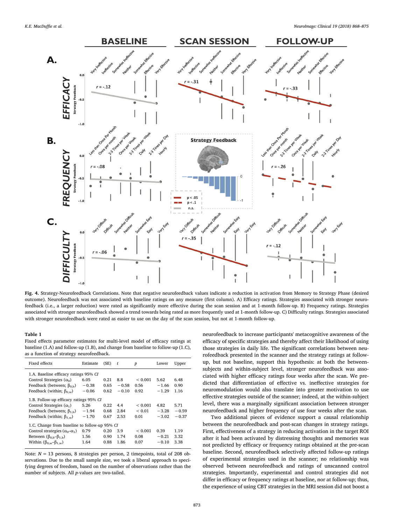<span id="page-6-0"></span>

Fig. 4. Strategy-Neurofeedback Correlations. Note that negative neurofeedback values indicate a reduction in activation from Memory to Strategy Phase (desired outcome). Neurofeedback was not associated with baseline ratings on any measure (first column). A) Efficacy ratings. Strategies associated with stronger neurofeedback (i.e., a larger reduction) were rated as significantly more effective during the scan session and at 1-month follow-up. B) Frequency ratings. Strategies associated with stronger neurofeedback showed a trend towards being rated as more frequently used at 1-month follow-up. C) Difficulty ratings. Strategies associated with stronger neurofeedback were rated as easier to use on the day of the scan session, but not at 1-month follow-up.

### <span id="page-6-1"></span>Table 1

Fixed effects parameter estimates for multi-level model of efficacy ratings at baseline (1.A) and follow-up (1.B), and change from baseline to follow-up (1.C), as a function of strategy neurofeedback.

| Fixed effects                                 | Estimate | (SE) | t       | p            | Lower    | Upper   |  |  |  |  |
|-----------------------------------------------|----------|------|---------|--------------|----------|---------|--|--|--|--|
| 1.A. Baseline efficacy ratings 95% CI         |          |      |         |              |          |         |  |  |  |  |
| Control Strategies $(\alpha_0)$               | 6.05     | 0.21 | 8.8     | < 0.001      | 5.62     | 6.48    |  |  |  |  |
| Feedback (between; $\beta_{0,b}$ )            | $-0.38$  | 0.65 | $-0.58$ | 0.56         | $-1.66$  | 0.90    |  |  |  |  |
| Feedback (within; $\beta_{0,w}$ )             | $-0.06$  | 0.62 | $-0.10$ | 0.92         | $-1.29$  | 1.16    |  |  |  |  |
| 1.B. Follow-up efficacy ratings 95% CI        |          |      |         |              |          |         |  |  |  |  |
| Control Strategies $(\alpha_1)$               | 5.26     | 0.22 | 4.4     | ${}_{0.001}$ | 4.82     | 5.71    |  |  |  |  |
| Feedback (between; $\beta_{1,b}$ )            | $-1.94$  | 0.68 | 2.84    | ${}_{0.01}$  | $-.3.28$ | $-0.59$ |  |  |  |  |
| Feedback (within; $\beta_{1,w}$ )             | $-1.70$  | 0.67 | 2.53    | 0.01         | $-.3.02$ | $-0.37$ |  |  |  |  |
| 1.C. Change from baseline to follow-up 95% CI |          |      |         |              |          |         |  |  |  |  |
| Control strategies $(\alpha_0 - \alpha_1)$    | 0.79     | 0.20 | 3.9     | ${}< 0.001$  | 0.39     | 1.19    |  |  |  |  |
| Between $(\beta_{0,b} - \beta_{1,b})$         | 1.56     | 0.90 | 1.74    | 0.08         | $-0.21$  | 3.32    |  |  |  |  |
| Within $(\beta_{0,w} - \beta_{1,w})$          | 1.64     | 0.88 | 1.86    | 0.07         | $-0.10$  | 3.38    |  |  |  |  |

Note:  $N = 13$  persons, 8 strategies per person, 2 timepoints, total of 208 observations. Due to the small sample size, we took a liberal approach to specifying degrees of freedom, based on the number of observations rather than the number of subjects. All p-values are two-tailed.

neurofeedback to increase participants' metacognitive awareness of the efficacy of specific strategies and thereby affect their likelihood of using those strategies in daily life. The significant correlations between neurofeedback presented in the scanner and the strategy ratings at followup, but not baseline, support this hypothesis: at both the betweensubjects and within-subject level, stronger neurofeedback was associated with higher efficacy ratings four weeks after the scan. We predicted that differentiation of effective vs. ineffective strategies for neuromodulation would also translate into greater motivation to use effective strategies outside of the scanner; indeed, at the within-subject level, there was a marginally significant association between stronger neurofeedback and higher frequency of use four weeks after the scan.

Two additional pieces of evidence support a causal relationship between the neurofeedback and post-scan changes in strategy ratings. First, effectiveness of a strategy in reducing activation in the target ROI after it had been activated by distressing thoughts and memories was not predicted by efficacy or frequency ratings obtained at the pre-scan baseline. Second, neurofeedback selectively affected follow-up ratings of experimental strategies used in the scanner; no relationship was observed between neurofeedback and ratings of unscanned control strategies. Importantly, experimental and control strategies did not differ in efficacy or frequency ratings at baseline, nor at follow-up; thus, the experience of using CBT strategies in the MRI session did not boost a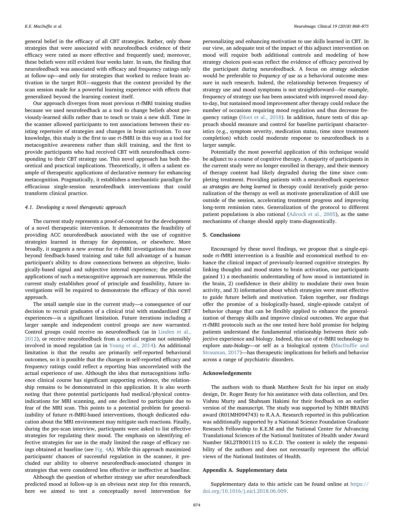general belief in the efficacy of all CBT strategies. Rather, only those strategies that were associated with neurofeedback evidence of their efficacy were rated as more effective and frequently used; moreover, these beliefs were still evident four weeks later. In sum, the finding that neurofeedback was associated with efficacy and frequency ratings only at follow-up—and only for strategies that worked to reduce brain activation in the target ROI—suggests that the context provided by the scan session made for a powerful learning experience with effects that generalized beyond the learning context itself.

Our approach diverges from most previous rt-fMRI training studies because we used neurofeedback as a tool to change beliefs about previously-learned skills rather than to teach or train a new skill. Time in the scanner allowed participants to test associations between their existing repertoire of strategies and changes in brain activation. To our knowledge, this study is the first to use rt-fMRI in this way as a tool for metacognitive awareness rather than skill training, and the first to provide participants who had received CBT with neurofeedback corresponding to their CBT strategy use. This novel approach has both theoretical and practical implications. Theoretically, it offers a salient example of therapeutic applications of declarative memory for enhancing metacognition. Pragmatically, it establishes a mechanistic paradigm for efficacious single-session neurofeedback interventions that could transform clinical practice.

# 4.1. Developing a novel therapeutic approach

The current study represents a proof-of-concept for the development of a novel therapeutic intervention. It demonstrates the feasibility of providing ACC neurofeedback associated with the use of cognitive strategies learned in therapy for depression, or elsewhere. More broadly, it suggests a new avenue for rt-fMRI investigations that move beyond feedback-based training and take full advantage of a human participant's ability to draw connections between an objective, biologically-based signal and subjective internal experience; the potential applications of such a metacognitive approach are numerous. While the current study establishes proof of principle and feasibility, future investigations will be required to demonstrate the efficacy of this novel approach.

The small sample size in the current study—a consequence of our decision to recruit graduates of a clinical trial with standardized CBT experiences—is a significant limitation. Future iterations including a larger sample and independent control groups are now warranted. Control groups could receive no neurofeedback (as in [Linden et al.,](#page-8-8) [2012\)](#page-8-8), or receive neurofeedback from a cortical region not ostensibly involved in mood regulation (as in [Young et al., 2014\)](#page-8-9). An additional limitation is that the results are primarily self-reported behavioral outcomes, so it is possible that the changes in self-reported efficacy and frequency ratings could reflect a reporting bias uncorrelated with the actual experience of use. Although the idea that metacognitions influence clinical course has significant supporting evidence, the relationship remains to be demonstrated in this application. It is also worth noting that three potential participants had medical/physical contraindications for MRI scanning, and one declined to participate due to fear of the MRI scan. This points to a potential problem for generalizability of future rt-fMRI-based interventions, though dedicated education about the MRI environment may mitigate such reactions. Finally, during the pre-scan interview, participants were asked to list effective strategies for regulating their mood. The emphasis on identifying effective strategies for use in the study limited the range of efficacy ratings obtained at baseline (see [Fig. 4A](#page-6-0)). While this approach maximized participants' chances of successful regulation in the scanner, it precluded our ability to observe neurofeedback-associated changes in strategies that were considered less effective or ineffective at baseline.

Although the question of whether strategy use after neurofeedback predicted mood at follow-up is an obvious next step for this research, here we aimed to test a conceptually novel intervention for

personalizing and enhancing motivation to use skills learned in CBT. In our view, an adequate test of the impact of this adjunct intervention on mood will require both additional controls and modeling of how strategy choices post-scan reflect the evidence of efficacy perceived by the participant during neurofeedback. A focus on strategy selection would be preferable to *frequency of use* as a behavioral outcome measure in such research. Indeed, the relationship between frequency of strategy use and mood symptoms is not straightforward—for example, frequency of strategy use has been associated with improved mood dayto-day, but sustained mood improvement after therapy could reduce the number of occasions requiring mood regulation and thus decrease frequency ratings ([Hoet et al., 2018\)](#page-8-14). In addition, future tests of this approach should measure and control for baseline participant characteristics (e.g., symptom severity, medication status, time since treatment completion) which could moderate response to neurofeedback in a larger sample.

Potentially the most powerful application of this technique would be adjunct to a course of cognitive therapy. A majority of participants in the current study were no longer enrolled in therapy, and their memory of therapy content had likely degraded during the time since completing treatment. Providing patients with a neurofeedback experience as strategies are being learned in therapy could iteratively guide personalization of the therapy as well as motivate generalization of skill use outside of the session, accelerating treatment progress and improving long-term remission rates. Generalization of the protocol to different patient populations is also rational [\(Adcock et al., 2005](#page-8-15)), as the same mechanisms of change should apply trans-diagnostically.

# 5. Conclusions

Encouraged by these novel findings, we propose that a single-episode rt-fMRI intervention is a feasible and economical method to enhance the clinical impact of previously-learned cognitive strategies. By linking thoughts and mood states to brain activation, our participants gained 1) a mechanistic understanding of how mood is instantiated in the brain, 2) confidence in their ability to modulate their own brain activity, and 3) information about which strategies were most effective to guide future beliefs and motivation. Taken together, our findings offer the promise of a biologically-based, single-episode catalyst of behavior change that can be flexibly applied to enhance the generalization of therapy skills and improve clinical outcomes. We argue that rt-fMRI protocols such as the one tested here hold promise for helping patients understand the fundamental relationship between their subjective experience and biology. Indeed, this use of rt-fMRI technology to explore auto-biology—or self as a biological system ([MacDu](#page-8-16)ffie and [Strauman, 2017\)](#page-8-16)—has therapeutic implications for beliefs and behavior across a range of psychiatric disorders.

#### Acknowledgements

The authors wish to thank Matthew Scult for his input on study design, Dr. Roger Beaty for his assistance with data collection, and Drs. Vishnu Murty and Shabnam Hakimi for their feedback on an earlier version of the manuscript. The study was supported by NIMH BRAINS award (R01MH094743) to R.A.A. Research reported in this publication was additionally supported by a National Science Foundation Graduate Research Fellowship to K.E.M and the National Center for Advancing Translational Sciences of the National Institutes of Health under Award Number 5KL2TR001115 to K.C.D. The content is solely the responsibility of the authors and does not necessarily represent the official views of the National Institutes of Health.

#### Appendix A. Supplementary data

Supplementary data to this article can be found online at [https://](https://doi.org/10.1016/j.nicl.2018.06.009) [doi.org/10.1016/j.nicl.2018.06.009](https://doi.org/10.1016/j.nicl.2018.06.009).